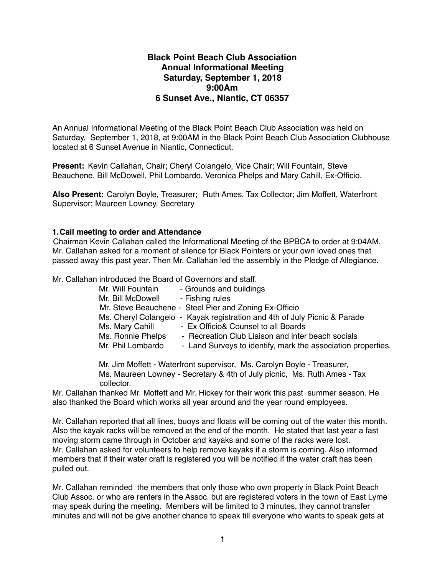# **Black Point Beach Club Association Annual Informational Meeting Saturday, September 1, 2018 9:00Am 6 Sunset Ave., Niantic, CT 06357**

An Annual Informational Meeting of the Black Point Beach Club Association was held on Saturday, September 1, 2018, at 9:00AM in the Black Point Beach Club Association Clubhouse located at 6 Sunset Avenue in Niantic, Connecticut.

**Present:** Kevin Callahan, Chair; Cheryl Colangelo, Vice Chair; Will Fountain, Steve Beauchene, Bill McDowell, Phil Lombardo, Veronica Phelps and Mary Cahill, Ex-Officio.

**Also Present:** Carolyn Boyle, Treasurer; Ruth Ames, Tax Collector; Jim Moffett, Waterfront Supervisor; Maureen Lowney, Secretary

#### **1.Call meeting to order and Attendance**

Chairman Kevin Callahan called the Informational Meeting of the BPBCA to order at 9:04AM. Mr. Callahan asked for a moment of silence for Black Pointers or your own loved ones that passed away this past year. Then Mr. Callahan led the assembly in the Pledge of Allegiance.

Mr. Callahan introduced the Board of Governors and staff.

| Mr. Will Fountain | - Grounds and buildings                                                   |
|-------------------|---------------------------------------------------------------------------|
| Mr. Bill McDowell | - Fishing rules                                                           |
|                   | Mr. Steve Beauchene - Steel Pier and Zoning Ex-Officio                    |
|                   | Ms. Cheryl Colangelo - Kayak registration and 4th of July Picnic & Parade |
| Ms. Mary Cahill   | - Ex Officio& Counsel to all Boards                                       |
| Ms. Ronnie Phelps | - Recreation Club Liaison and inter beach socials                         |
| Mr. Phil Lombardo | - Land Surveys to identify, mark the association properties.              |

 Mr. Jim Moffett - Waterfront supervisor, Ms. Carolyn Boyle - Treasurer, Ms. Maureen Lowney - Secretary & 4th of July picnic, Ms. Ruth Ames - Tax collector.

Mr. Callahan thanked Mr. Moffett and Mr. Hickey for their work this past summer season. He also thanked the Board which works all year around and the year round employees.

Mr. Callahan reported that all lines, buoys and floats will be coming out of the water this month. Also the kayak racks will be removed at the end of the month. He stated that last year a fast moving storm came through in October and kayaks and some of the racks were lost. Mr. Callahan asked for volunteers to help remove kayaks if a storm is coming. Also informed members that if their water craft is registered you will be notified if the water craft has been pulled out.

Mr. Callahan reminded the members that only those who own property in Black Point Beach Club Assoc. or who are renters in the Assoc. but are registered voters in the town of East Lyme may speak during the meeting. Members will be limited to 3 minutes, they cannot transfer minutes and will not be give another chance to speak till everyone who wants to speak gets at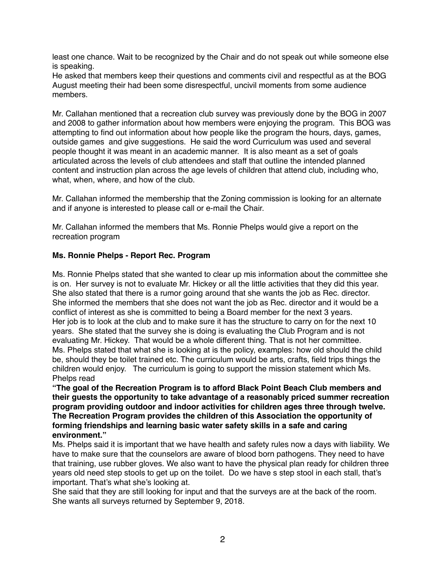least one chance. Wait to be recognized by the Chair and do not speak out while someone else is speaking.

He asked that members keep their questions and comments civil and respectful as at the BOG August meeting their had been some disrespectful, uncivil moments from some audience members.

Mr. Callahan mentioned that a recreation club survey was previously done by the BOG in 2007 and 2008 to gather information about how members were enjoying the program. This BOG was attempting to find out information about how people like the program the hours, days, games, outside games and give suggestions. He said the word Curriculum was used and several people thought it was meant in an academic manner. It is also meant as a set of goals articulated across the levels of club attendees and staff that outline the intended planned content and instruction plan across the age levels of children that attend club, including who, what, when, where, and how of the club.

Mr. Callahan informed the membership that the Zoning commission is looking for an alternate and if anyone is interested to please call or e-mail the Chair.

Mr. Callahan informed the members that Ms. Ronnie Phelps would give a report on the recreation program

## **Ms. Ronnie Phelps - Report Rec. Program**

Ms. Ronnie Phelps stated that she wanted to clear up mis information about the committee she is on. Her survey is not to evaluate Mr. Hickey or all the little activities that they did this year. She also stated that there is a rumor going around that she wants the job as Rec. director. She informed the members that she does not want the job as Rec. director and it would be a conflict of interest as she is committed to being a Board member for the next 3 years. Her job is to look at the club and to make sure it has the structure to carry on for the next 10 years. She stated that the survey she is doing is evaluating the Club Program and is not evaluating Mr. Hickey. That would be a whole different thing. That is not her committee. Ms. Phelps stated that what she is looking at is the policy, examples: how old should the child be, should they be toilet trained etc. The curriculum would be arts, crafts, field trips things the children would enjoy. The curriculum is going to support the mission statement which Ms. Phelps read

**"The goal of the Recreation Program is to afford Black Point Beach Club members and their guests the opportunity to take advantage of a reasonably priced summer recreation program providing outdoor and indoor activities for children ages three through twelve. The Recreation Program provides the children of this Association the opportunity of forming friendships and learning basic water safety skills in a safe and caring environment."** 

Ms. Phelps said it is important that we have health and safety rules now a days with liability. We have to make sure that the counselors are aware of blood born pathogens. They need to have that training, use rubber gloves. We also want to have the physical plan ready for children three years old need step stools to get up on the toilet. Do we have s step stool in each stall, that's important. That's what she's looking at.

She said that they are still looking for input and that the surveys are at the back of the room. She wants all surveys returned by September 9, 2018.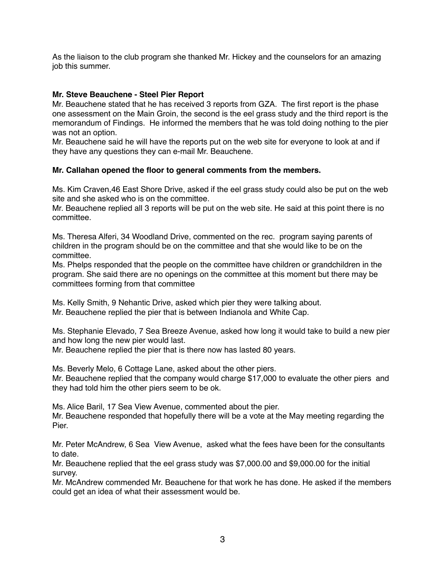As the liaison to the club program she thanked Mr. Hickey and the counselors for an amazing job this summer.

#### **Mr. Steve Beauchene - Steel Pier Report**

Mr. Beauchene stated that he has received 3 reports from GZA. The first report is the phase one assessment on the Main Groin, the second is the eel grass study and the third report is the memorandum of Findings. He informed the members that he was told doing nothing to the pier was not an option.

Mr. Beauchene said he will have the reports put on the web site for everyone to look at and if they have any questions they can e-mail Mr. Beauchene.

### **Mr. Callahan opened the floor to general comments from the members.**

Ms. Kim Craven,46 East Shore Drive, asked if the eel grass study could also be put on the web site and she asked who is on the committee.

Mr. Beauchene replied all 3 reports will be put on the web site. He said at this point there is no committee.

Ms. Theresa Alferi, 34 Woodland Drive, commented on the rec. program saying parents of children in the program should be on the committee and that she would like to be on the committee.

Ms. Phelps responded that the people on the committee have children or grandchildren in the program. She said there are no openings on the committee at this moment but there may be committees forming from that committee

Ms. Kelly Smith, 9 Nehantic Drive, asked which pier they were talking about. Mr. Beauchene replied the pier that is between Indianola and White Cap.

Ms. Stephanie Elevado, 7 Sea Breeze Avenue, asked how long it would take to build a new pier and how long the new pier would last.

Mr. Beauchene replied the pier that is there now has lasted 80 years.

Ms. Beverly Melo, 6 Cottage Lane, asked about the other piers.

Mr. Beauchene replied that the company would charge \$17,000 to evaluate the other piers and they had told him the other piers seem to be ok.

Ms. Alice Baril, 17 Sea View Avenue, commented about the pier. Mr. Beauchene responded that hopefully there will be a vote at the May meeting regarding the Pier.

Mr. Peter McAndrew, 6 Sea View Avenue, asked what the fees have been for the consultants to date.

Mr. Beauchene replied that the eel grass study was \$7,000.00 and \$9,000.00 for the initial survey.

Mr. McAndrew commended Mr. Beauchene for that work he has done. He asked if the members could get an idea of what their assessment would be.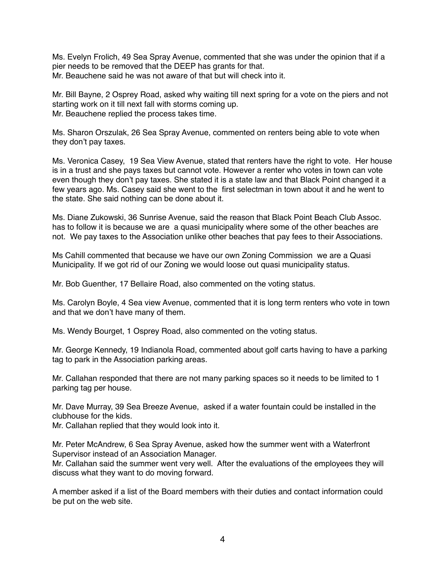Ms. Evelyn Frolich, 49 Sea Spray Avenue, commented that she was under the opinion that if a pier needs to be removed that the DEEP has grants for that. Mr. Beauchene said he was not aware of that but will check into it.

Mr. Bill Bayne, 2 Osprey Road, asked why waiting till next spring for a vote on the piers and not starting work on it till next fall with storms coming up. Mr. Beauchene replied the process takes time.

Ms. Sharon Orszulak, 26 Sea Spray Avenue, commented on renters being able to vote when they don't pay taxes.

Ms. Veronica Casey, 19 Sea View Avenue, stated that renters have the right to vote. Her house is in a trust and she pays taxes but cannot vote. However a renter who votes in town can vote even though they don't pay taxes. She stated it is a state law and that Black Point changed it a few years ago. Ms. Casey said she went to the first selectman in town about it and he went to the state. She said nothing can be done about it.

Ms. Diane Zukowski, 36 Sunrise Avenue, said the reason that Black Point Beach Club Assoc. has to follow it is because we are a quasi municipality where some of the other beaches are not. We pay taxes to the Association unlike other beaches that pay fees to their Associations.

Ms Cahill commented that because we have our own Zoning Commission we are a Quasi Municipality. If we got rid of our Zoning we would loose out quasi municipality status.

Mr. Bob Guenther, 17 Bellaire Road, also commented on the voting status.

Ms. Carolyn Boyle, 4 Sea view Avenue, commented that it is long term renters who vote in town and that we don't have many of them.

Ms. Wendy Bourget, 1 Osprey Road, also commented on the voting status.

Mr. George Kennedy, 19 Indianola Road, commented about golf carts having to have a parking tag to park in the Association parking areas.

Mr. Callahan responded that there are not many parking spaces so it needs to be limited to 1 parking tag per house.

Mr. Dave Murray, 39 Sea Breeze Avenue, asked if a water fountain could be installed in the clubhouse for the kids.

Mr. Callahan replied that they would look into it.

Mr. Peter McAndrew, 6 Sea Spray Avenue, asked how the summer went with a Waterfront Supervisor instead of an Association Manager.

Mr. Callahan said the summer went very well. After the evaluations of the employees they will discuss what they want to do moving forward.

A member asked if a list of the Board members with their duties and contact information could be put on the web site.